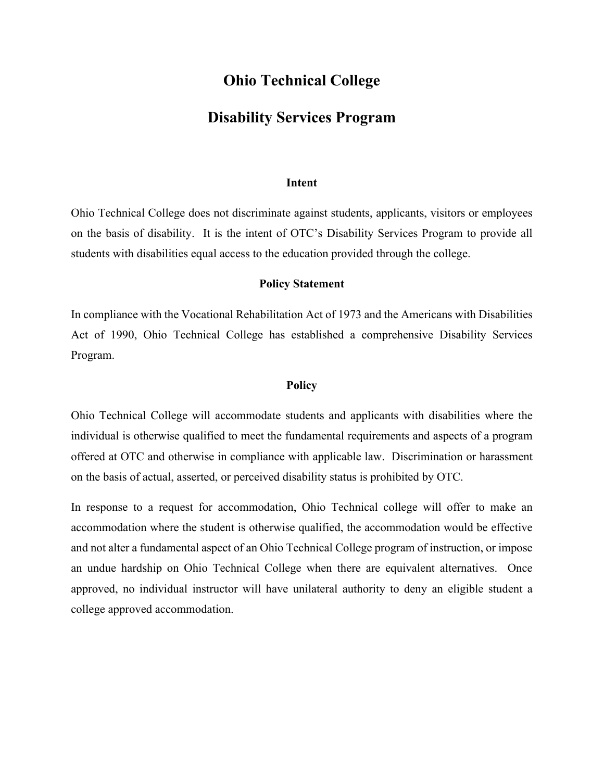## **Ohio Technical College**

## **Disability Services Program**

#### **Intent**

Ohio Technical College does not discriminate against students, applicants, visitors or employees on the basis of disability. It is the intent of OTC's Disability Services Program to provide all students with disabilities equal access to the education provided through the college.

#### **Policy Statement**

In compliance with the Vocational Rehabilitation Act of 1973 and the Americans with Disabilities Act of 1990, Ohio Technical College has established a comprehensive Disability Services Program.

#### **Policy**

Ohio Technical College will accommodate students and applicants with disabilities where the individual is otherwise qualified to meet the fundamental requirements and aspects of a program offered at OTC and otherwise in compliance with applicable law. Discrimination or harassment on the basis of actual, asserted, or perceived disability status is prohibited by OTC.

In response to a request for accommodation, Ohio Technical college will offer to make an accommodation where the student is otherwise qualified, the accommodation would be effective and not alter a fundamental aspect of an Ohio Technical College program of instruction, or impose an undue hardship on Ohio Technical College when there are equivalent alternatives. Once approved, no individual instructor will have unilateral authority to deny an eligible student a college approved accommodation.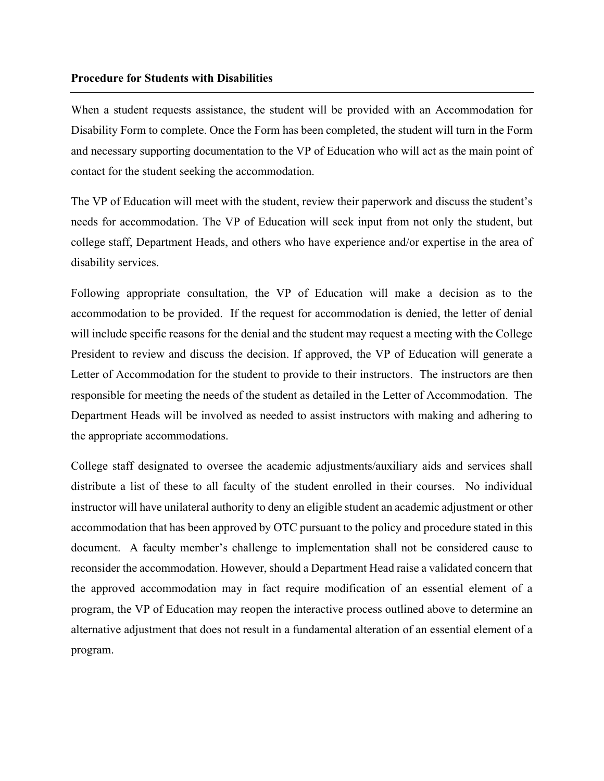#### **Procedure for Students with Disabilities**

When a student requests assistance, the student will be provided with an Accommodation for Disability Form to complete. Once the Form has been completed, the student will turn in the Form and necessary supporting documentation to the VP of Education who will act as the main point of contact for the student seeking the accommodation.

The VP of Education will meet with the student, review their paperwork and discuss the student's needs for accommodation. The VP of Education will seek input from not only the student, but college staff, Department Heads, and others who have experience and/or expertise in the area of disability services.

Following appropriate consultation, the VP of Education will make a decision as to the accommodation to be provided. If the request for accommodation is denied, the letter of denial will include specific reasons for the denial and the student may request a meeting with the College President to review and discuss the decision. If approved, the VP of Education will generate a Letter of Accommodation for the student to provide to their instructors. The instructors are then responsible for meeting the needs of the student as detailed in the Letter of Accommodation. The Department Heads will be involved as needed to assist instructors with making and adhering to the appropriate accommodations.

College staff designated to oversee the academic adjustments/auxiliary aids and services shall distribute a list of these to all faculty of the student enrolled in their courses. No individual instructor will have unilateral authority to deny an eligible student an academic adjustment or other accommodation that has been approved by OTC pursuant to the policy and procedure stated in this document. A faculty member's challenge to implementation shall not be considered cause to reconsider the accommodation. However, should a Department Head raise a validated concern that the approved accommodation may in fact require modification of an essential element of a program, the VP of Education may reopen the interactive process outlined above to determine an alternative adjustment that does not result in a fundamental alteration of an essential element of a program.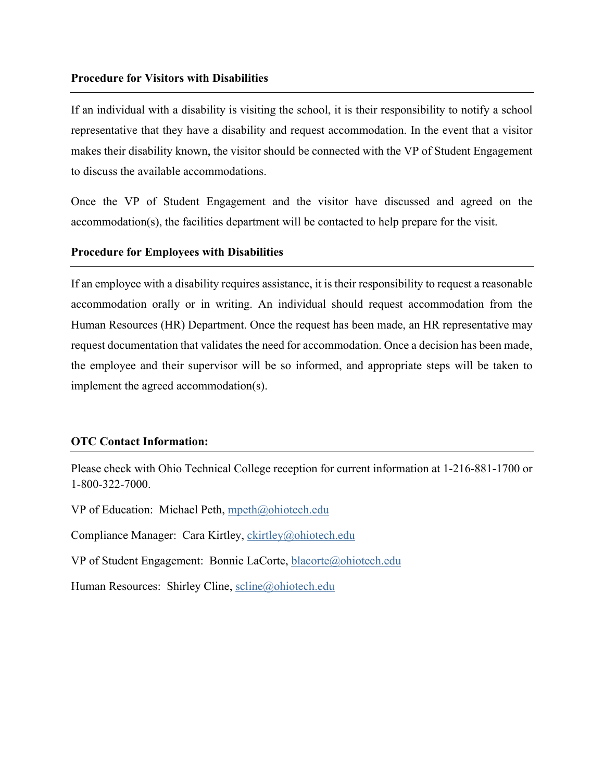#### **Procedure for Visitors with Disabilities**

If an individual with a disability is visiting the school, it is their responsibility to notify a school representative that they have a disability and request accommodation. In the event that a visitor makes their disability known, the visitor should be connected with the VP of Student Engagement to discuss the available accommodations.

Once the VP of Student Engagement and the visitor have discussed and agreed on the accommodation(s), the facilities department will be contacted to help prepare for the visit.

### **Procedure for Employees with Disabilities**

If an employee with a disability requires assistance, it is their responsibility to request a reasonable accommodation orally or in writing. An individual should request accommodation from the Human Resources (HR) Department. Once the request has been made, an HR representative may request documentation that validates the need for accommodation. Once a decision has been made, the employee and their supervisor will be so informed, and appropriate steps will be taken to implement the agreed accommodation(s).

#### **OTC Contact Information:**

Please check with Ohio Technical College reception for current information at 1-216-881-1700 or 1-800-322-7000.

VP of Education: Michael Peth, mpeth@ohiotech.edu

Compliance Manager: Cara Kirtley, ckirtley@ohiotech.edu

VP of Student Engagement: Bonnie LaCorte, blacorte@ohiotech.edu

Human Resources: Shirley Cline, scline@ohiotech.edu